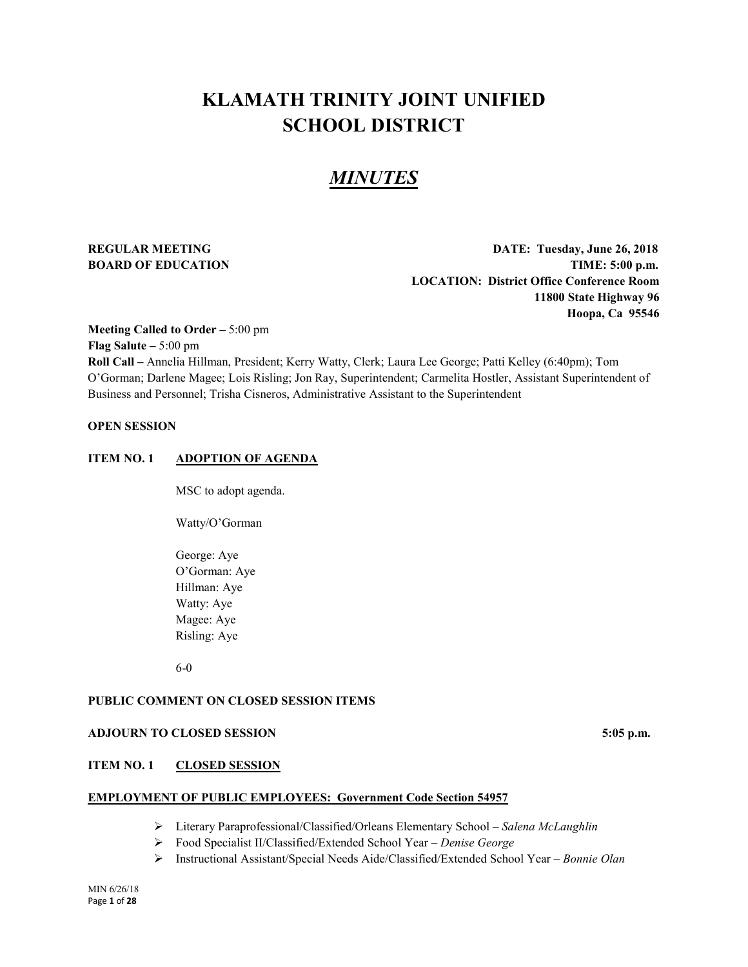# **KLAMATH TRINITY JOINT UNIFIED SCHOOL DISTRICT**

# *MINUTES*

**REGULAR MEETING DATE: Tuesday, June 26, 2018 BOARD OF EDUCATION TIME:** 5:00 p.m. **LOCATION: District Office Conference Room 11800 State Highway 96 Hoopa, Ca 95546**

**Meeting Called to Order –** 5:00 pm **Flag Salute –** 5:00 pm **Roll Call –** Annelia Hillman, President; Kerry Watty, Clerk; Laura Lee George; Patti Kelley (6:40pm); Tom O'Gorman; Darlene Magee; Lois Risling; Jon Ray, Superintendent; Carmelita Hostler, Assistant Superintendent of Business and Personnel; Trisha Cisneros, Administrative Assistant to the Superintendent

# **OPEN SESSION**

# **ITEM NO. 1 ADOPTION OF AGENDA**

MSC to adopt agenda.

Watty/O'Gorman

George: Aye O'Gorman: Aye Hillman: Aye Watty: Aye Magee: Aye Risling: Aye

6-0

# **PUBLIC COMMENT ON CLOSED SESSION ITEMS**

# **ADJOURN TO CLOSED SESSION 5:05 p.m.**

# **ITEM NO. 1 CLOSED SESSION**

# **EMPLOYMENT OF PUBLIC EMPLOYEES: Government Code Section 54957**

- Literary Paraprofessional/Classified/Orleans Elementary School *Salena McLaughlin*
- Food Specialist II/Classified/Extended School Year *Denise George*
- Instructional Assistant/Special Needs Aide/Classified/Extended School Year *Bonnie Olan*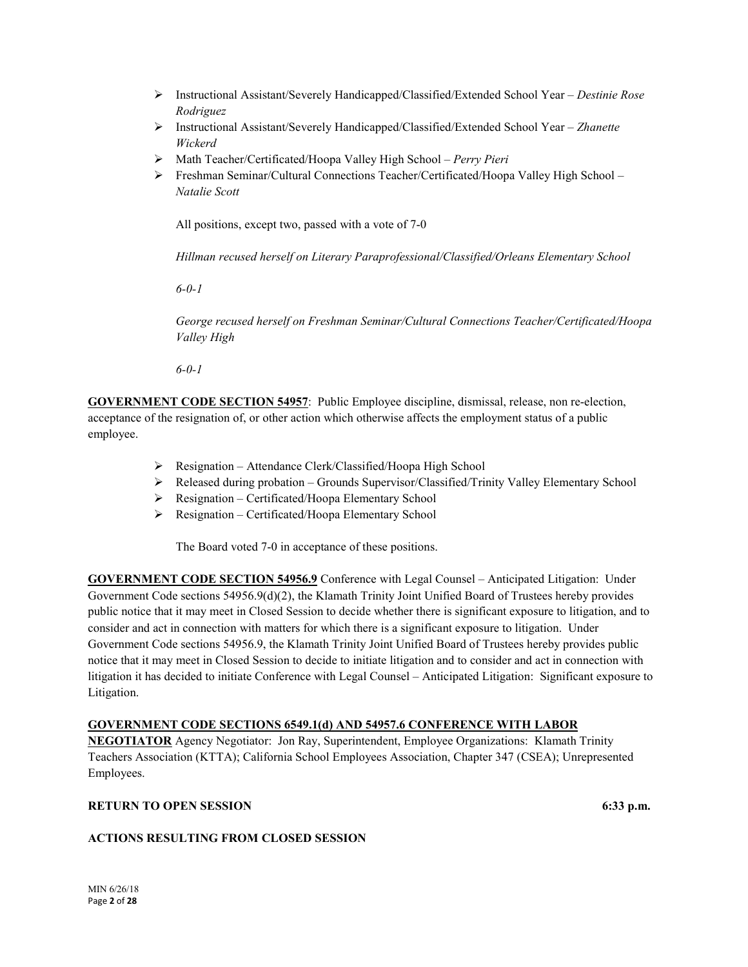- Instructional Assistant/Severely Handicapped/Classified/Extended School Year *Destinie Rose Rodriguez*
- Instructional Assistant/Severely Handicapped/Classified/Extended School Year *Zhanette Wickerd*
- Math Teacher/Certificated/Hoopa Valley High School *Perry Pieri*
- Freshman Seminar/Cultural Connections Teacher/Certificated/Hoopa Valley High School *Natalie Scott*

All positions, except two, passed with a vote of 7-0

*Hillman recused herself on Literary Paraprofessional/Classified/Orleans Elementary School*

*6-0-1*

*George recused herself on Freshman Seminar/Cultural Connections Teacher/Certificated/Hoopa Valley High*

*6-0-1*

**GOVERNMENT CODE SECTION 54957**: Public Employee discipline, dismissal, release, non re-election, acceptance of the resignation of, or other action which otherwise affects the employment status of a public employee.

- Resignation Attendance Clerk/Classified/Hoopa High School
- Released during probation Grounds Supervisor/Classified/Trinity Valley Elementary School
- $\triangleright$  Resignation Certificated/Hoopa Elementary School
- Resignation Certificated/Hoopa Elementary School

The Board voted 7-0 in acceptance of these positions.

**GOVERNMENT CODE SECTION 54956.9** Conference with Legal Counsel – Anticipated Litigation: Under Government Code sections 54956.9(d)(2), the Klamath Trinity Joint Unified Board of Trustees hereby provides public notice that it may meet in Closed Session to decide whether there is significant exposure to litigation, and to consider and act in connection with matters for which there is a significant exposure to litigation. Under Government Code sections 54956.9, the Klamath Trinity Joint Unified Board of Trustees hereby provides public notice that it may meet in Closed Session to decide to initiate litigation and to consider and act in connection with litigation it has decided to initiate Conference with Legal Counsel – Anticipated Litigation: Significant exposure to Litigation.

# **GOVERNMENT CODE SECTIONS 6549.1(d) AND 54957.6 CONFERENCE WITH LABOR**

**NEGOTIATOR** Agency Negotiator: Jon Ray, Superintendent, Employee Organizations: Klamath Trinity Teachers Association (KTTA); California School Employees Association, Chapter 347 (CSEA); Unrepresented Employees.

# **RETURN TO OPEN SESSION 6:33 p.m.**

# **ACTIONS RESULTING FROM CLOSED SESSION**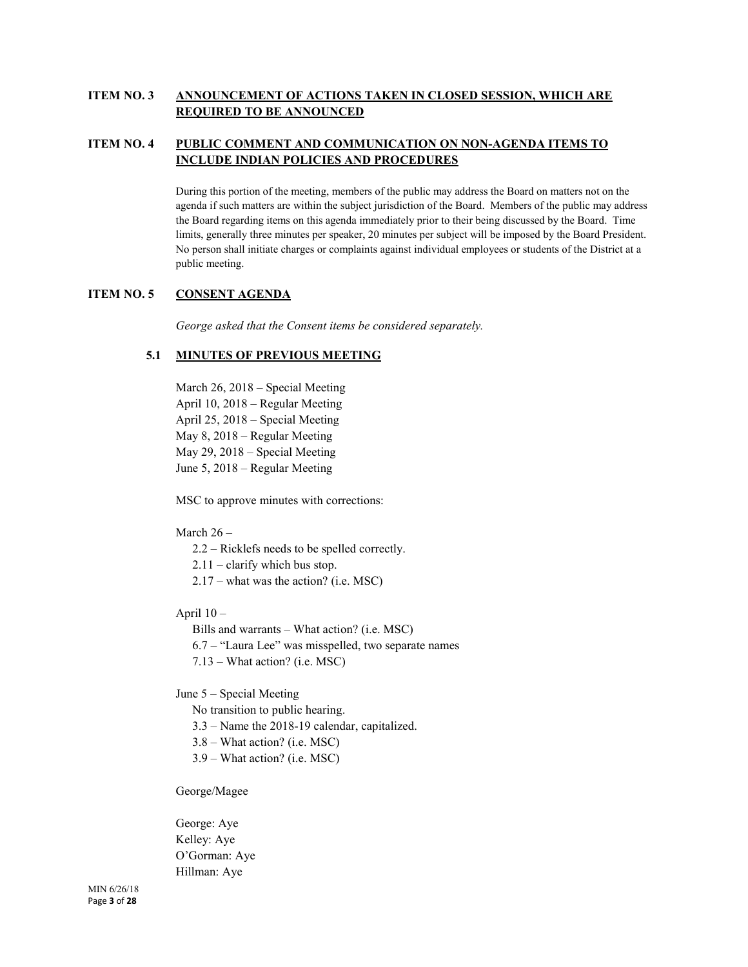# **ITEM NO. 3 ANNOUNCEMENT OF ACTIONS TAKEN IN CLOSED SESSION, WHICH ARE REQUIRED TO BE ANNOUNCED**

# **ITEM NO. 4 PUBLIC COMMENT AND COMMUNICATION ON NON-AGENDA ITEMS TO INCLUDE INDIAN POLICIES AND PROCEDURES**

During this portion of the meeting, members of the public may address the Board on matters not on the agenda if such matters are within the subject jurisdiction of the Board. Members of the public may address the Board regarding items on this agenda immediately prior to their being discussed by the Board. Time limits, generally three minutes per speaker, 20 minutes per subject will be imposed by the Board President. No person shall initiate charges or complaints against individual employees or students of the District at a public meeting.

# **ITEM NO. 5 CONSENT AGENDA**

*George asked that the Consent items be considered separately.* 

# **5.1 MINUTES OF PREVIOUS MEETING**

March 26, 2018 – Special Meeting April 10, 2018 – Regular Meeting April 25, 2018 – Special Meeting May 8, 2018 – Regular Meeting May 29, 2018 – Special Meeting June 5, 2018 – Regular Meeting

MSC to approve minutes with corrections:

# March 26 –

- 2.2 Ricklefs needs to be spelled correctly.
- 2.11 clarify which bus stop.
- 2.17 what was the action? (i.e. MSC)
- April 10
	- Bills and warrants What action? (i.e. MSC)
	- 6.7 "Laura Lee" was misspelled, two separate names
	- 7.13 What action? (i.e. MSC)

June 5 – Special Meeting

- No transition to public hearing.
- 3.3 Name the 2018-19 calendar, capitalized.
- 3.8 What action? (i.e. MSC)
- 3.9 What action? (i.e. MSC)

George/Magee

George: Aye Kelley: Aye O'Gorman: Aye Hillman: Aye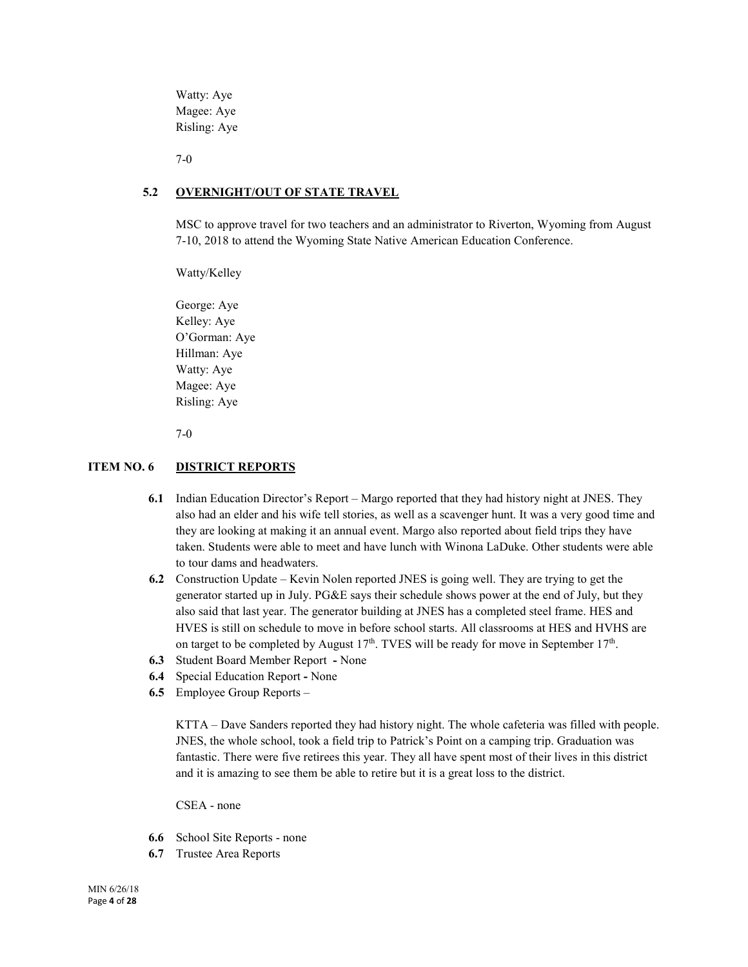Watty: Aye Magee: Aye Risling: Aye

7-0

# **5.2 OVERNIGHT/OUT OF STATE TRAVEL**

MSC to approve travel for two teachers and an administrator to Riverton, Wyoming from August 7-10, 2018 to attend the Wyoming State Native American Education Conference.

Watty/Kelley

George: Aye Kelley: Aye O'Gorman: Aye Hillman: Aye Watty: Aye Magee: Aye Risling: Aye

7-0

# **ITEM NO. 6 DISTRICT REPORTS**

- **6.1** Indian Education Director's Report Margo reported that they had history night at JNES. They also had an elder and his wife tell stories, as well as a scavenger hunt. It was a very good time and they are looking at making it an annual event. Margo also reported about field trips they have taken. Students were able to meet and have lunch with Winona LaDuke. Other students were able to tour dams and headwaters.
- **6.2** Construction Update Kevin Nolen reported JNES is going well. They are trying to get the generator started up in July. PG&E says their schedule shows power at the end of July, but they also said that last year. The generator building at JNES has a completed steel frame. HES and HVES is still on schedule to move in before school starts. All classrooms at HES and HVHS are on target to be completed by August  $17<sup>th</sup>$ . TVES will be ready for move in September  $17<sup>th</sup>$ .
- **6.3** Student Board Member ReportNone
- **6.4** Special Education Report **-** None
- **6.5** Employee Group Reports –

KTTA – Dave Sanders reported they had history night. The whole cafeteria was filled with people. JNES, the whole school, took a field trip to Patrick's Point on a camping trip. Graduation was fantastic. There were five retirees this year. They all have spent most of their lives in this district and it is amazing to see them be able to retire but it is a great loss to the district.

CSEA - none

- **6.6** School Site Reports none
- **6.7** Trustee Area Reports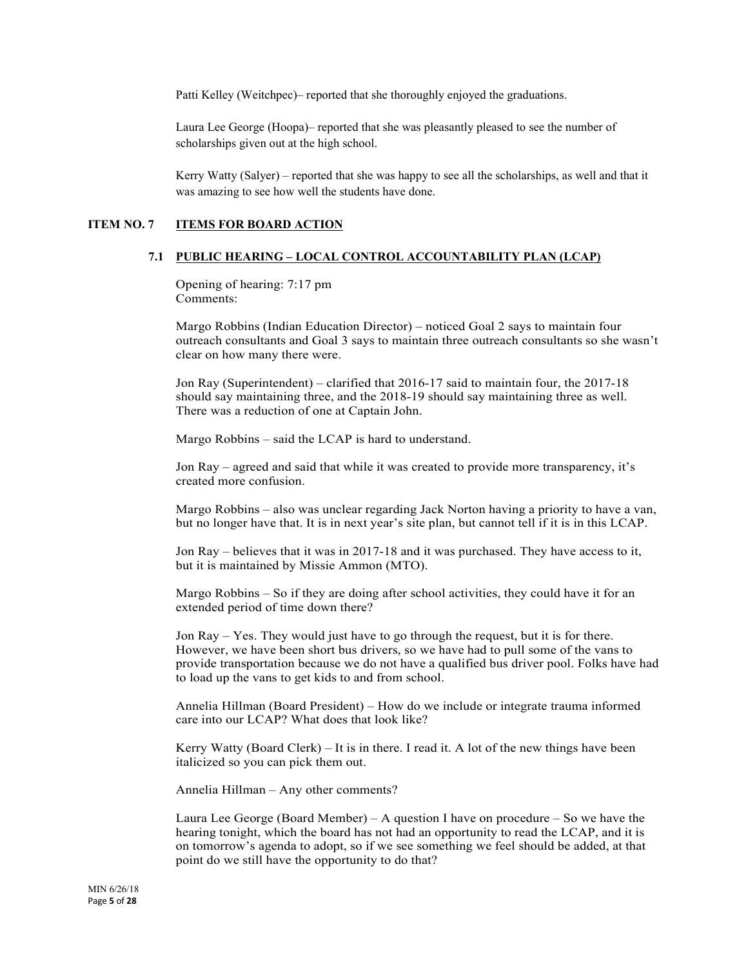Patti Kelley (Weitchpec)– reported that she thoroughly enjoyed the graduations.

Laura Lee George (Hoopa)– reported that she was pleasantly pleased to see the number of scholarships given out at the high school.

Kerry Watty (Salyer) – reported that she was happy to see all the scholarships, as well and that it was amazing to see how well the students have done.

# **ITEM NO. 7 ITEMS FOR BOARD ACTION**

#### **7.1 PUBLIC HEARING – LOCAL CONTROL ACCOUNTABILITY PLAN (LCAP)**

Opening of hearing: 7:17 pm Comments:

Margo Robbins (Indian Education Director) – noticed Goal 2 says to maintain four outreach consultants and Goal 3 says to maintain three outreach consultants so she wasn't clear on how many there were.

Jon Ray (Superintendent) – clarified that 2016-17 said to maintain four, the 2017-18 should say maintaining three, and the 2018-19 should say maintaining three as well. There was a reduction of one at Captain John.

Margo Robbins – said the LCAP is hard to understand.

Jon Ray – agreed and said that while it was created to provide more transparency, it's created more confusion.

Margo Robbins – also was unclear regarding Jack Norton having a priority to have a van, but no longer have that. It is in next year's site plan, but cannot tell if it is in this LCAP.

Jon Ray – believes that it was in 2017-18 and it was purchased. They have access to it, but it is maintained by Missie Ammon (MTO).

Margo Robbins – So if they are doing after school activities, they could have it for an extended period of time down there?

Jon Ray – Yes. They would just have to go through the request, but it is for there. However, we have been short bus drivers, so we have had to pull some of the vans to provide transportation because we do not have a qualified bus driver pool. Folks have had to load up the vans to get kids to and from school.

Annelia Hillman (Board President) – How do we include or integrate trauma informed care into our LCAP? What does that look like?

Kerry Watty (Board Clerk) – It is in there. I read it. A lot of the new things have been italicized so you can pick them out.

Annelia Hillman – Any other comments?

Laura Lee George (Board Member) – A question I have on procedure – So we have the hearing tonight, which the board has not had an opportunity to read the LCAP, and it is on tomorrow's agenda to adopt, so if we see something we feel should be added, at that point do we still have the opportunity to do that?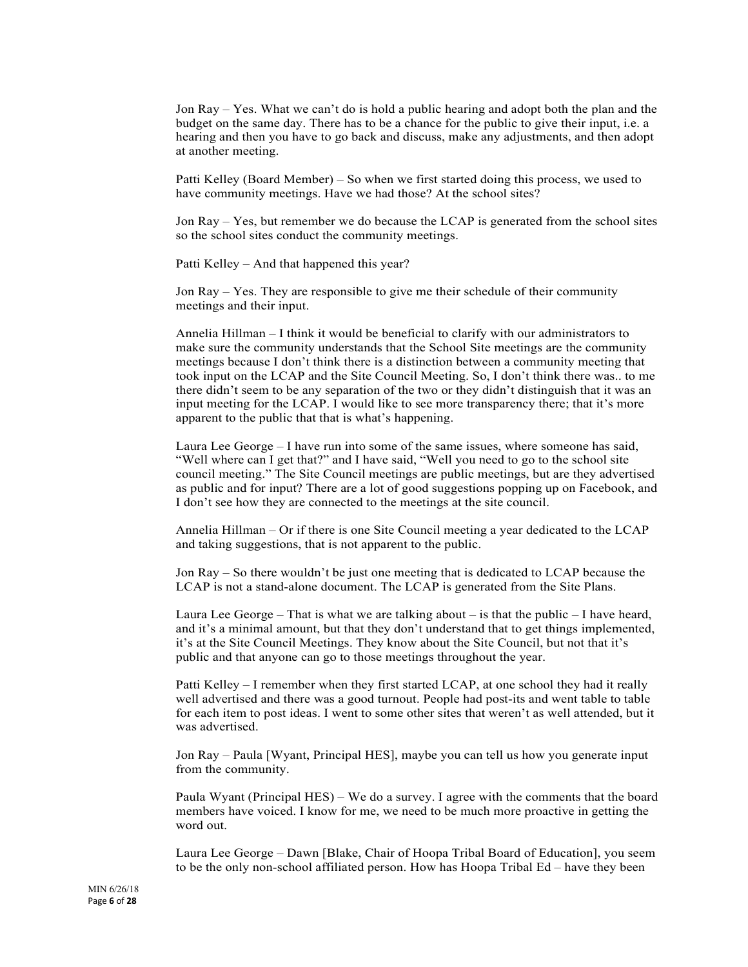Jon Ray – Yes. What we can't do is hold a public hearing and adopt both the plan and the budget on the same day. There has to be a chance for the public to give their input, i.e. a hearing and then you have to go back and discuss, make any adjustments, and then adopt at another meeting.

Patti Kelley (Board Member) – So when we first started doing this process, we used to have community meetings. Have we had those? At the school sites?

Jon Ray – Yes, but remember we do because the LCAP is generated from the school sites so the school sites conduct the community meetings.

Patti Kelley – And that happened this year?

Jon Ray – Yes. They are responsible to give me their schedule of their community meetings and their input.

Annelia Hillman – I think it would be beneficial to clarify with our administrators to make sure the community understands that the School Site meetings are the community meetings because I don't think there is a distinction between a community meeting that took input on the LCAP and the Site Council Meeting. So, I don't think there was.. to me there didn't seem to be any separation of the two or they didn't distinguish that it was an input meeting for the LCAP. I would like to see more transparency there; that it's more apparent to the public that that is what's happening.

Laura Lee George – I have run into some of the same issues, where someone has said, "Well where can I get that?" and I have said, "Well you need to go to the school site council meeting." The Site Council meetings are public meetings, but are they advertised as public and for input? There are a lot of good suggestions popping up on Facebook, and I don't see how they are connected to the meetings at the site council.

Annelia Hillman – Or if there is one Site Council meeting a year dedicated to the LCAP and taking suggestions, that is not apparent to the public.

Jon Ray – So there wouldn't be just one meeting that is dedicated to LCAP because the LCAP is not a stand-alone document. The LCAP is generated from the Site Plans.

Laura Lee George – That is what we are talking about – is that the public – I have heard, and it's a minimal amount, but that they don't understand that to get things implemented, it's at the Site Council Meetings. They know about the Site Council, but not that it's public and that anyone can go to those meetings throughout the year.

Patti Kelley – I remember when they first started LCAP, at one school they had it really well advertised and there was a good turnout. People had post-its and went table to table for each item to post ideas. I went to some other sites that weren't as well attended, but it was advertised.

Jon Ray – Paula [Wyant, Principal HES], maybe you can tell us how you generate input from the community.

Paula Wyant (Principal HES) – We do a survey. I agree with the comments that the board members have voiced. I know for me, we need to be much more proactive in getting the word out.

Laura Lee George – Dawn [Blake, Chair of Hoopa Tribal Board of Education], you seem to be the only non-school affiliated person. How has Hoopa Tribal Ed – have they been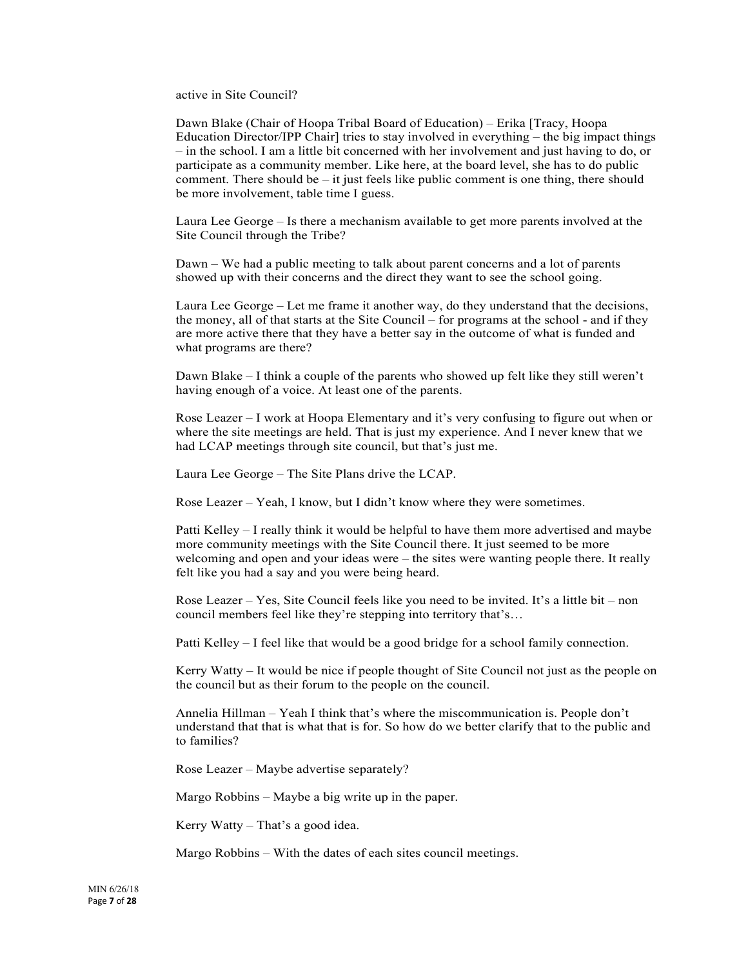active in Site Council?

Dawn Blake (Chair of Hoopa Tribal Board of Education) – Erika [Tracy, Hoopa Education Director/IPP Chair] tries to stay involved in everything – the big impact things – in the school. I am a little bit concerned with her involvement and just having to do, or participate as a community member. Like here, at the board level, she has to do public comment. There should be  $-$  it just feels like public comment is one thing, there should be more involvement, table time I guess.

Laura Lee George – Is there a mechanism available to get more parents involved at the Site Council through the Tribe?

Dawn – We had a public meeting to talk about parent concerns and a lot of parents showed up with their concerns and the direct they want to see the school going.

Laura Lee George – Let me frame it another way, do they understand that the decisions, the money, all of that starts at the Site Council – for programs at the school - and if they are more active there that they have a better say in the outcome of what is funded and what programs are there?

Dawn Blake – I think a couple of the parents who showed up felt like they still weren't having enough of a voice. At least one of the parents.

Rose Leazer – I work at Hoopa Elementary and it's very confusing to figure out when or where the site meetings are held. That is just my experience. And I never knew that we had LCAP meetings through site council, but that's just me.

Laura Lee George – The Site Plans drive the LCAP.

Rose Leazer – Yeah, I know, but I didn't know where they were sometimes.

Patti Kelley – I really think it would be helpful to have them more advertised and maybe more community meetings with the Site Council there. It just seemed to be more welcoming and open and your ideas were – the sites were wanting people there. It really felt like you had a say and you were being heard.

Rose Leazer – Yes, Site Council feels like you need to be invited. It's a little bit – non council members feel like they're stepping into territory that's…

Patti Kelley – I feel like that would be a good bridge for a school family connection.

Kerry Watty – It would be nice if people thought of Site Council not just as the people on the council but as their forum to the people on the council.

Annelia Hillman – Yeah I think that's where the miscommunication is. People don't understand that that is what that is for. So how do we better clarify that to the public and to families?

Rose Leazer – Maybe advertise separately?

Margo Robbins – Maybe a big write up in the paper.

Kerry Watty – That's a good idea.

Margo Robbins – With the dates of each sites council meetings.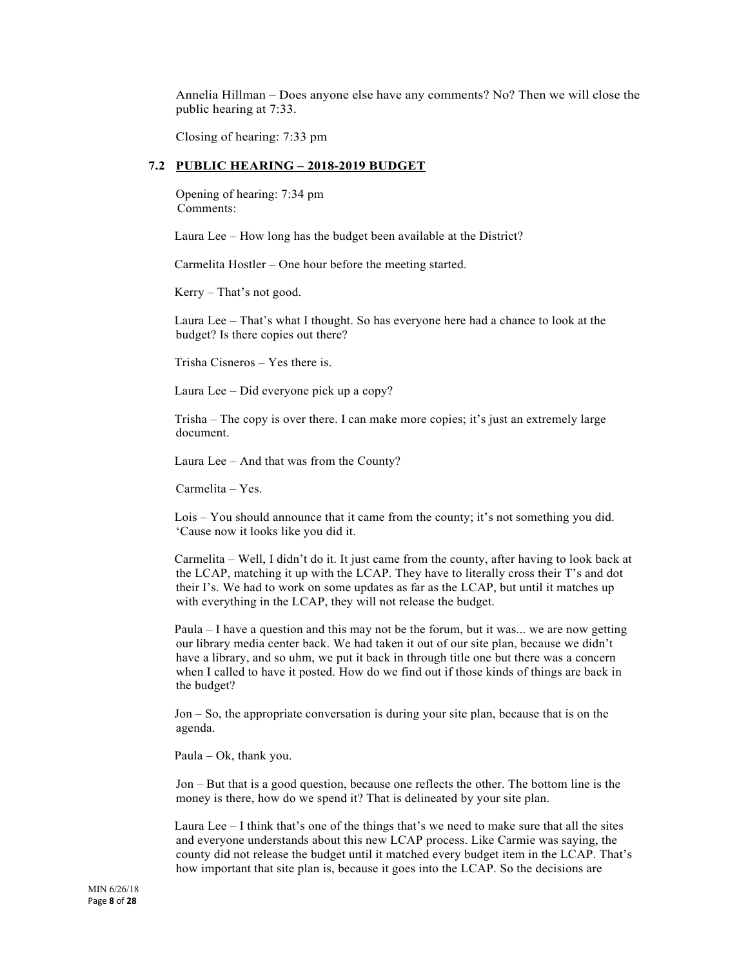Annelia Hillman – Does anyone else have any comments? No? Then we will close the public hearing at 7:33.

Closing of hearing: 7:33 pm

#### **7.2 PUBLIC HEARING – 2018-2019 BUDGET**

Opening of hearing: 7:34 pm Comments:

Laura Lee – How long has the budget been available at the District?

Carmelita Hostler – One hour before the meeting started.

Kerry – That's not good.

Laura Lee – That's what I thought. So has everyone here had a chance to look at the budget? Is there copies out there?

Trisha Cisneros – Yes there is.

Laura Lee – Did everyone pick up a copy?

Trisha – The copy is over there. I can make more copies; it's just an extremely large document.

Laura Lee – And that was from the County?

Carmelita – Yes.

Lois – You should announce that it came from the county; it's not something you did. 'Cause now it looks like you did it.

Carmelita – Well, I didn't do it. It just came from the county, after having to look back at the LCAP, matching it up with the LCAP. They have to literally cross their T's and dot their I's. We had to work on some updates as far as the LCAP, but until it matches up with everything in the LCAP, they will not release the budget.

Paula – I have a question and this may not be the forum, but it was... we are now getting our library media center back. We had taken it out of our site plan, because we didn't have a library, and so uhm, we put it back in through title one but there was a concern when I called to have it posted. How do we find out if those kinds of things are back in the budget?

Jon – So, the appropriate conversation is during your site plan, because that is on the agenda.

Paula – Ok, thank you.

Jon – But that is a good question, because one reflects the other. The bottom line is the money is there, how do we spend it? That is delineated by your site plan.

Laura Lee – I think that's one of the things that's we need to make sure that all the sites and everyone understands about this new LCAP process. Like Carmie was saying, the county did not release the budget until it matched every budget item in the LCAP. That's how important that site plan is, because it goes into the LCAP. So the decisions are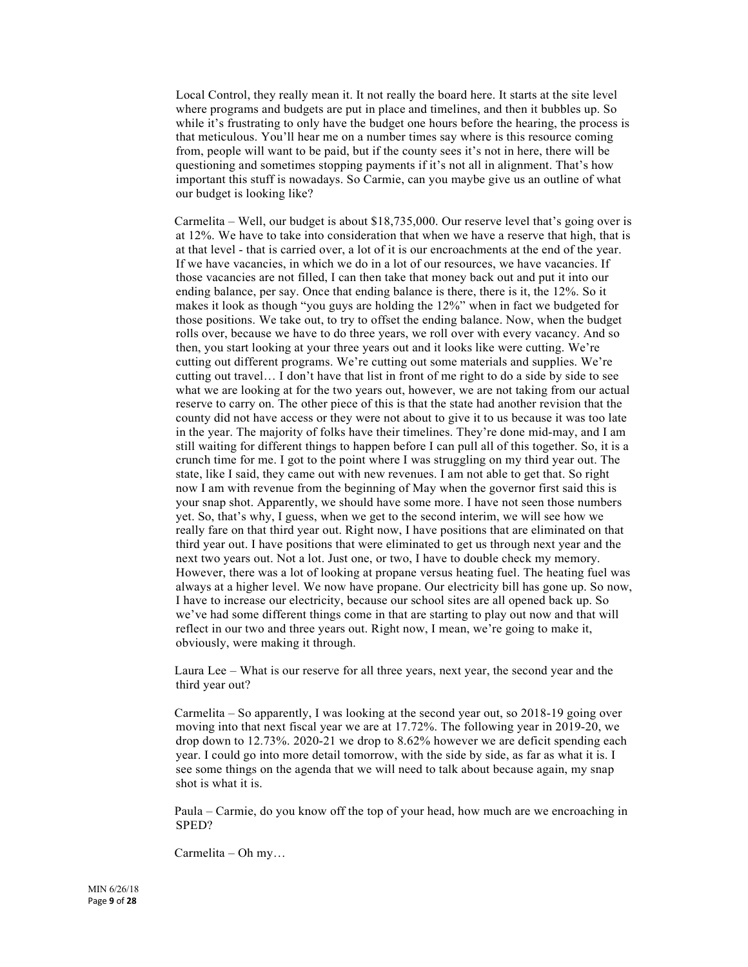Local Control, they really mean it. It not really the board here. It starts at the site level where programs and budgets are put in place and timelines, and then it bubbles up. So while it's frustrating to only have the budget one hours before the hearing, the process is that meticulous. You'll hear me on a number times say where is this resource coming from, people will want to be paid, but if the county sees it's not in here, there will be questioning and sometimes stopping payments if it's not all in alignment. That's how important this stuff is nowadays. So Carmie, can you maybe give us an outline of what our budget is looking like?

Carmelita – Well, our budget is about \$18,735,000. Our reserve level that's going over is at 12%. We have to take into consideration that when we have a reserve that high, that is at that level - that is carried over, a lot of it is our encroachments at the end of the year. If we have vacancies, in which we do in a lot of our resources, we have vacancies. If those vacancies are not filled, I can then take that money back out and put it into our ending balance, per say. Once that ending balance is there, there is it, the 12%. So it makes it look as though "you guys are holding the 12%" when in fact we budgeted for those positions. We take out, to try to offset the ending balance. Now, when the budget rolls over, because we have to do three years, we roll over with every vacancy. And so then, you start looking at your three years out and it looks like were cutting. We're cutting out different programs. We're cutting out some materials and supplies. We're cutting out travel… I don't have that list in front of me right to do a side by side to see what we are looking at for the two years out, however, we are not taking from our actual reserve to carry on. The other piece of this is that the state had another revision that the county did not have access or they were not about to give it to us because it was too late in the year. The majority of folks have their timelines. They're done mid-may, and I am still waiting for different things to happen before I can pull all of this together. So, it is a crunch time for me. I got to the point where I was struggling on my third year out. The state, like I said, they came out with new revenues. I am not able to get that. So right now I am with revenue from the beginning of May when the governor first said this is your snap shot. Apparently, we should have some more. I have not seen those numbers yet. So, that's why, I guess, when we get to the second interim, we will see how we really fare on that third year out. Right now, I have positions that are eliminated on that third year out. I have positions that were eliminated to get us through next year and the next two years out. Not a lot. Just one, or two, I have to double check my memory. However, there was a lot of looking at propane versus heating fuel. The heating fuel was always at a higher level. We now have propane. Our electricity bill has gone up. So now, I have to increase our electricity, because our school sites are all opened back up. So we've had some different things come in that are starting to play out now and that will reflect in our two and three years out. Right now, I mean, we're going to make it, obviously, were making it through.

Laura Lee – What is our reserve for all three years, next year, the second year and the third year out?

Carmelita – So apparently, I was looking at the second year out, so 2018-19 going over moving into that next fiscal year we are at 17.72%. The following year in 2019-20, we drop down to 12.73%. 2020-21 we drop to 8.62% however we are deficit spending each year. I could go into more detail tomorrow, with the side by side, as far as what it is. I see some things on the agenda that we will need to talk about because again, my snap shot is what it is.

Paula – Carmie, do you know off the top of your head, how much are we encroaching in SPED?

Carmelita – Oh my…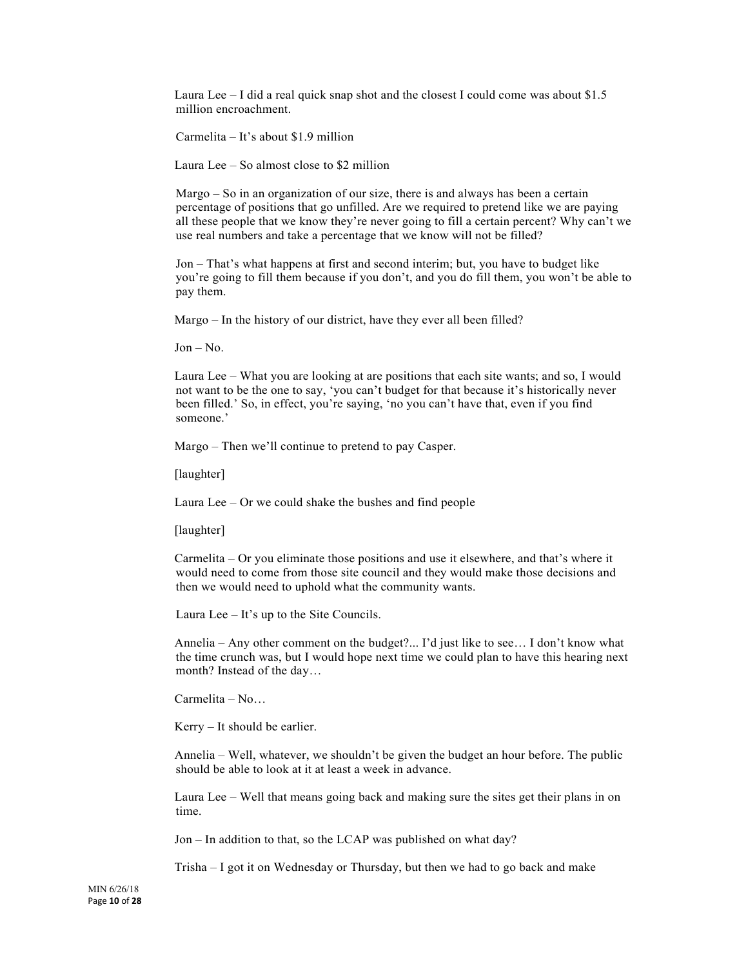Laura Lee  $-1$  did a real quick snap shot and the closest I could come was about \$1.5 million encroachment.

Carmelita – It's about \$1.9 million

Laura Lee – So almost close to \$2 million

Margo – So in an organization of our size, there is and always has been a certain percentage of positions that go unfilled. Are we required to pretend like we are paying all these people that we know they're never going to fill a certain percent? Why can't we use real numbers and take a percentage that we know will not be filled?

Jon – That's what happens at first and second interim; but, you have to budget like you're going to fill them because if you don't, and you do fill them, you won't be able to pay them.

Margo – In the history of our district, have they ever all been filled?

 $Jon - No.$ 

Laura Lee – What you are looking at are positions that each site wants; and so, I would not want to be the one to say, 'you can't budget for that because it's historically never been filled.' So, in effect, you're saying, 'no you can't have that, even if you find someone.'

Margo – Then we'll continue to pretend to pay Casper.

[laughter]

Laura Lee – Or we could shake the bushes and find people

[laughter]

Carmelita – Or you eliminate those positions and use it elsewhere, and that's where it would need to come from those site council and they would make those decisions and then we would need to uphold what the community wants.

Laura Lee – It's up to the Site Councils.

Annelia – Any other comment on the budget?... I'd just like to see… I don't know what the time crunch was, but I would hope next time we could plan to have this hearing next month? Instead of the day…

Carmelita – No…

Kerry – It should be earlier.

Annelia – Well, whatever, we shouldn't be given the budget an hour before. The public should be able to look at it at least a week in advance.

Laura Lee – Well that means going back and making sure the sites get their plans in on time.

Jon – In addition to that, so the LCAP was published on what day?

Trisha – I got it on Wednesday or Thursday, but then we had to go back and make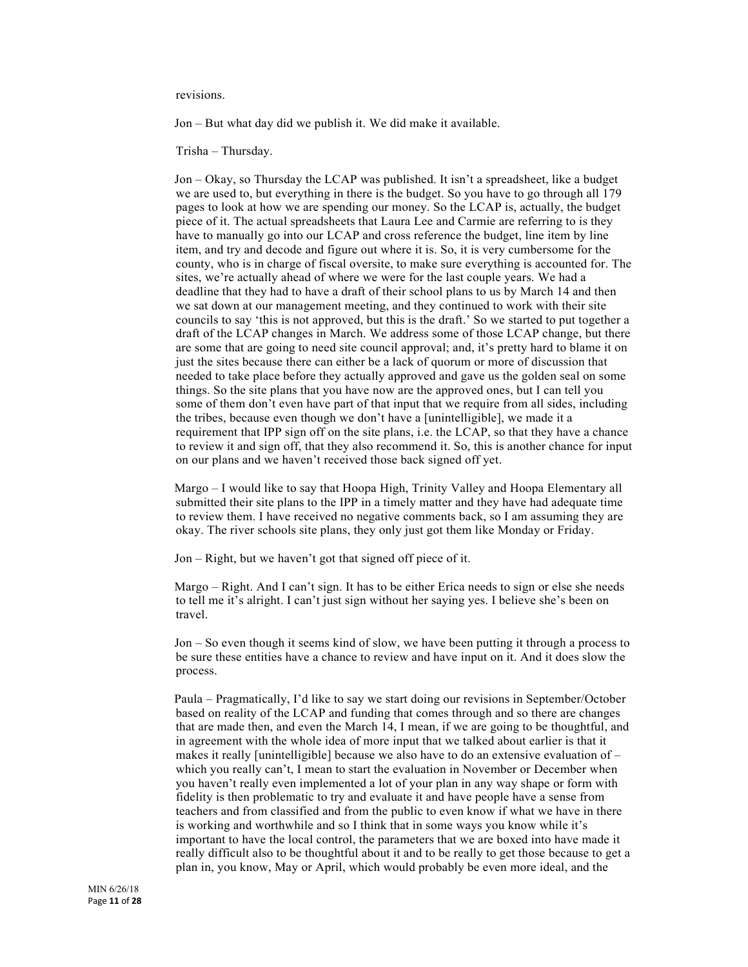revisions.

Jon – But what day did we publish it. We did make it available.

Trisha – Thursday.

Jon – Okay, so Thursday the LCAP was published. It isn't a spreadsheet, like a budget we are used to, but everything in there is the budget. So you have to go through all 179 pages to look at how we are spending our money. So the LCAP is, actually, the budget piece of it. The actual spreadsheets that Laura Lee and Carmie are referring to is they have to manually go into our LCAP and cross reference the budget, line item by line item, and try and decode and figure out where it is. So, it is very cumbersome for the county, who is in charge of fiscal oversite, to make sure everything is accounted for. The sites, we're actually ahead of where we were for the last couple years. We had a deadline that they had to have a draft of their school plans to us by March 14 and then we sat down at our management meeting, and they continued to work with their site councils to say 'this is not approved, but this is the draft.' So we started to put together a draft of the LCAP changes in March. We address some of those LCAP change, but there are some that are going to need site council approval; and, it's pretty hard to blame it on just the sites because there can either be a lack of quorum or more of discussion that needed to take place before they actually approved and gave us the golden seal on some things. So the site plans that you have now are the approved ones, but I can tell you some of them don't even have part of that input that we require from all sides, including the tribes, because even though we don't have a [unintelligible], we made it a requirement that IPP sign off on the site plans, i.e. the LCAP, so that they have a chance to review it and sign off, that they also recommend it. So, this is another chance for input on our plans and we haven't received those back signed off yet.

Margo – I would like to say that Hoopa High, Trinity Valley and Hoopa Elementary all submitted their site plans to the IPP in a timely matter and they have had adequate time to review them. I have received no negative comments back, so I am assuming they are okay. The river schools site plans, they only just got them like Monday or Friday.

Jon – Right, but we haven't got that signed off piece of it.

Margo – Right. And I can't sign. It has to be either Erica needs to sign or else she needs to tell me it's alright. I can't just sign without her saying yes. I believe she's been on travel.

Jon – So even though it seems kind of slow, we have been putting it through a process to be sure these entities have a chance to review and have input on it. And it does slow the process.

Paula – Pragmatically, I'd like to say we start doing our revisions in September/October based on reality of the LCAP and funding that comes through and so there are changes that are made then, and even the March 14, I mean, if we are going to be thoughtful, and in agreement with the whole idea of more input that we talked about earlier is that it makes it really [unintelligible] because we also have to do an extensive evaluation of – which you really can't, I mean to start the evaluation in November or December when you haven't really even implemented a lot of your plan in any way shape or form with fidelity is then problematic to try and evaluate it and have people have a sense from teachers and from classified and from the public to even know if what we have in there is working and worthwhile and so I think that in some ways you know while it's important to have the local control, the parameters that we are boxed into have made it really difficult also to be thoughtful about it and to be really to get those because to get a plan in, you know, May or April, which would probably be even more ideal, and the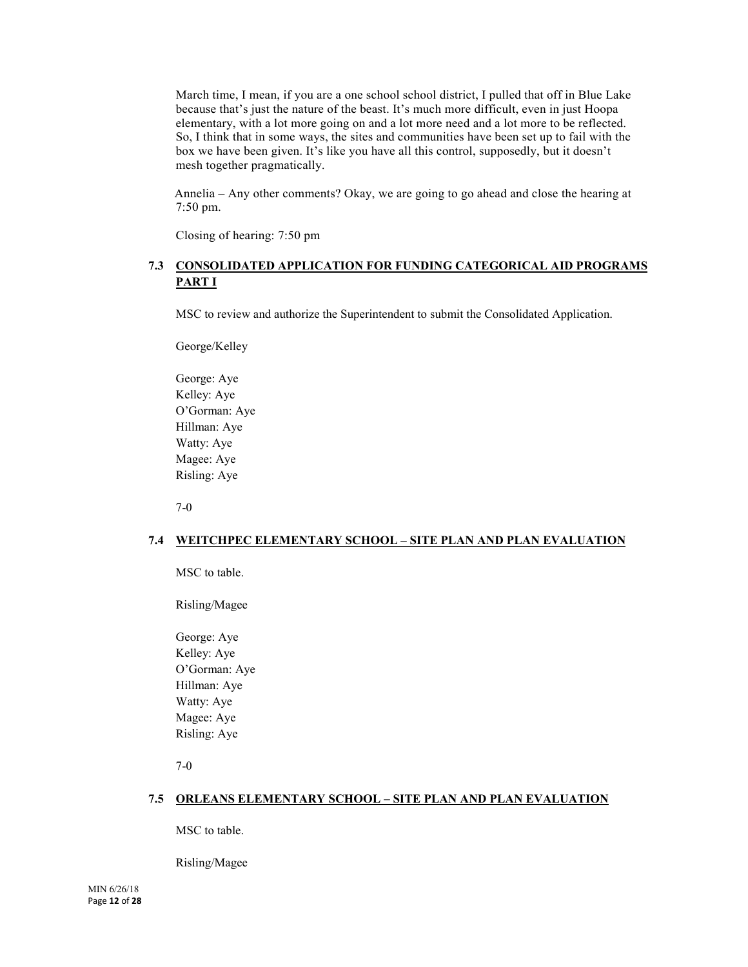March time, I mean, if you are a one school school district, I pulled that off in Blue Lake because that's just the nature of the beast. It's much more difficult, even in just Hoopa elementary, with a lot more going on and a lot more need and a lot more to be reflected. So, I think that in some ways, the sites and communities have been set up to fail with the box we have been given. It's like you have all this control, supposedly, but it doesn't mesh together pragmatically.

Annelia – Any other comments? Okay, we are going to go ahead and close the hearing at 7:50 pm.

Closing of hearing: 7:50 pm

# **7.3 CONSOLIDATED APPLICATION FOR FUNDING CATEGORICAL AID PROGRAMS PART I**

MSC to review and authorize the Superintendent to submit the Consolidated Application.

George/Kelley

George: Aye Kelley: Aye O'Gorman: Aye Hillman: Aye Watty: Aye Magee: Aye Risling: Aye

7-0

# **7.4 WEITCHPEC ELEMENTARY SCHOOL – SITE PLAN AND PLAN EVALUATION**

MSC to table.

Risling/Magee

George: Aye Kelley: Aye O'Gorman: Aye Hillman: Aye Watty: Aye Magee: Aye Risling: Aye

7-0

# **7.5 ORLEANS ELEMENTARY SCHOOL – SITE PLAN AND PLAN EVALUATION**

MSC to table.

Risling/Magee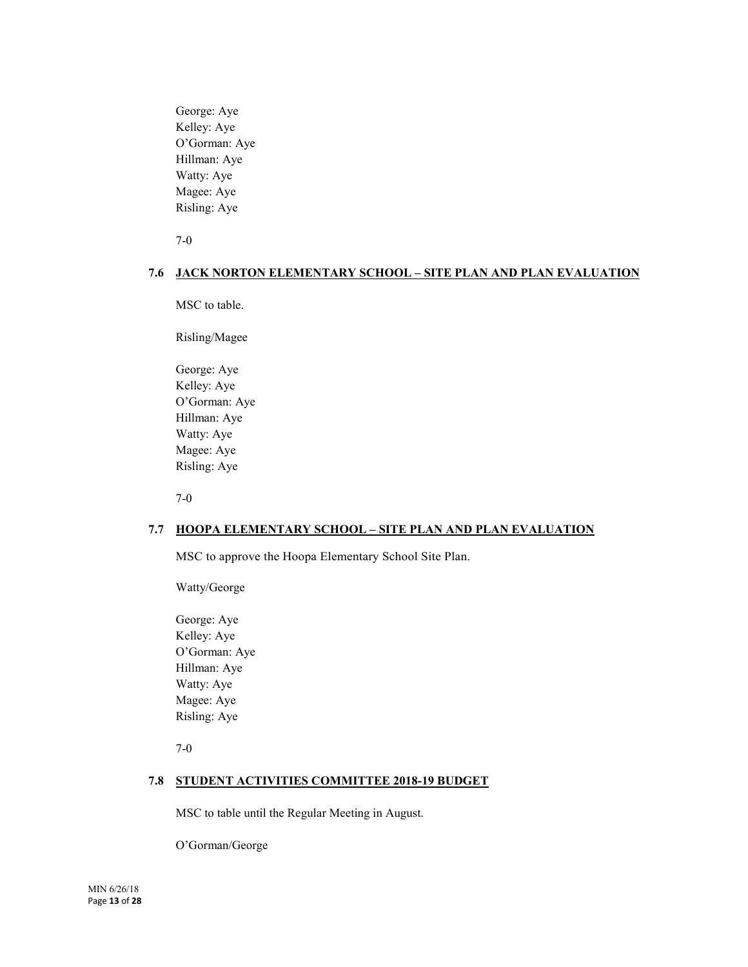George: Aye Kelley: Aye O'Gorman: Aye Hillman: Aye Watty: Aye Magee: Aye Risling: Aye

7-0

# **7.6 JACK NORTON ELEMENTARY SCHOOL – SITE PLAN AND PLAN EVALUATION**

MSC to table.

Risling/Magee

George: Aye Kelley: Aye O'Gorman: Aye Hillman: Aye Watty: Aye Magee: Aye Risling: Aye

7-0

# **7.7 HOOPA ELEMENTARY SCHOOL – SITE PLAN AND PLAN EVALUATION**

MSC to approve the Hoopa Elementary School Site Plan.

Watty/George

George: Aye Kelley: Aye O'Gorman: Aye Hillman: Aye Watty: Aye Magee: Aye Risling: Aye

7-0

# **7.8 STUDENT ACTIVITIES COMMITTEE 2018-19 BUDGET**

MSC to table until the Regular Meeting in August.

O'Gorman/George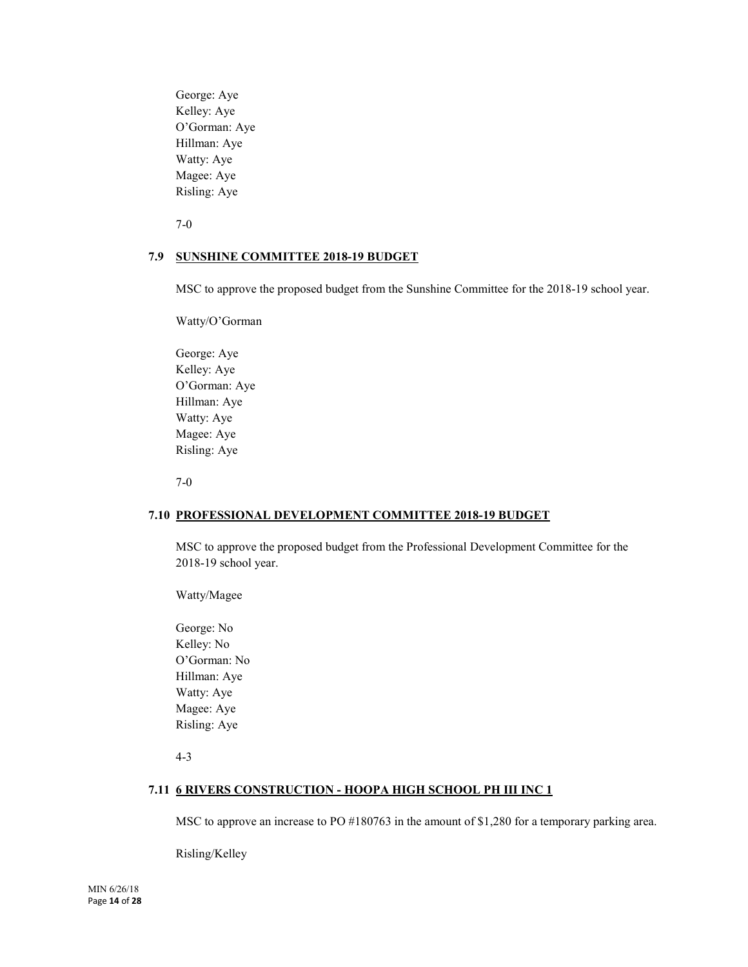George: Aye Kelley: Aye O'Gorman: Aye Hillman: Aye Watty: Aye Magee: Aye Risling: Aye

7-0

# **7.9 SUNSHINE COMMITTEE 2018-19 BUDGET**

MSC to approve the proposed budget from the Sunshine Committee for the 2018-19 school year.

Watty/O'Gorman

George: Aye Kelley: Aye O'Gorman: Aye Hillman: Aye Watty: Aye Magee: Aye Risling: Aye

7-0

#### **7.10 PROFESSIONAL DEVELOPMENT COMMITTEE 2018-19 BUDGET**

MSC to approve the proposed budget from the Professional Development Committee for the 2018-19 school year.

Watty/Magee

George: No Kelley: No O'Gorman: No Hillman: Aye Watty: Aye Magee: Aye Risling: Aye

4-3

#### **7.11 6 RIVERS CONSTRUCTION - HOOPA HIGH SCHOOL PH III INC 1**

MSC to approve an increase to PO #180763 in the amount of \$1,280 for a temporary parking area.

Risling/Kelley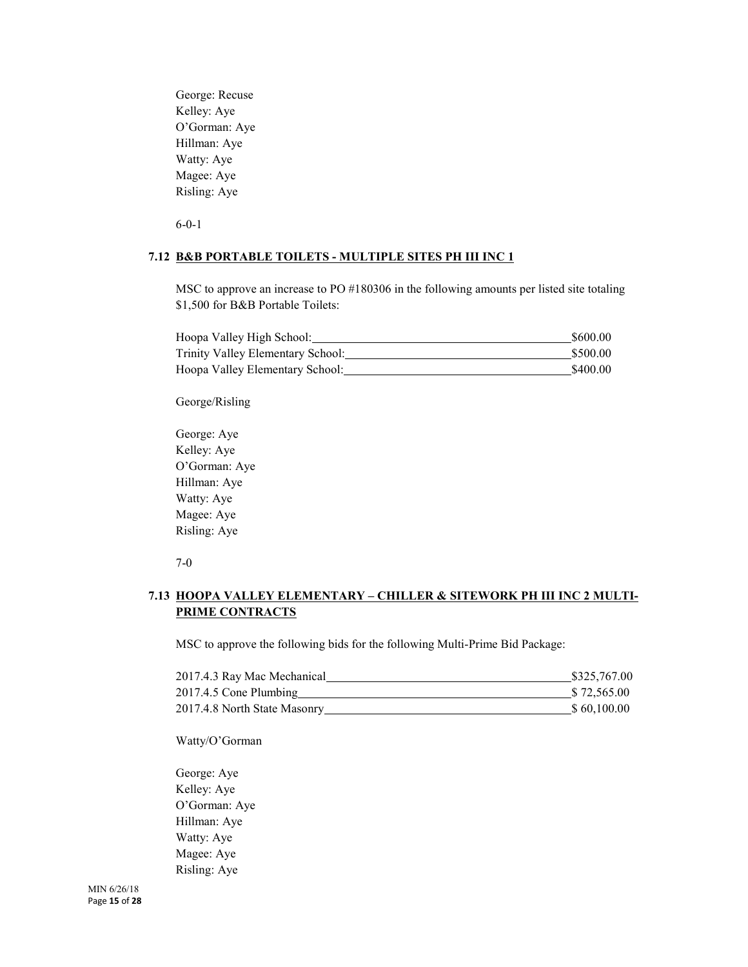George: Recuse Kelley: Aye O'Gorman: Aye Hillman: Aye Watty: Aye Magee: Aye Risling: Aye

6-0-1

#### **7.12 B&B PORTABLE TOILETS - MULTIPLE SITES PH III INC 1**

MSC to approve an increase to PO #180306 in the following amounts per listed site totaling \$1,500 for B&B Portable Toilets:

| Hoopa Valley High School:         | \$600.00 |
|-----------------------------------|----------|
| Trinity Valley Elementary School: | \$500.00 |
| Hoopa Valley Elementary School:   | \$400.00 |

# George/Risling

George: Aye Kelley: Aye O'Gorman: Aye Hillman: Aye Watty: Aye Magee: Aye Risling: Aye

7-0

# **7.13 HOOPA VALLEY ELEMENTARY – CHILLER & SITEWORK PH III INC 2 MULTI-PRIME CONTRACTS**

MSC to approve the following bids for the following Multi-Prime Bid Package:

| 2017.4.3 Ray Mac Mechanical  | \$325,767.00 |
|------------------------------|--------------|
| 2017.4.5 Cone Plumbing       | \$72,565.00  |
| 2017.4.8 North State Masonry | \$60,100.00  |

Watty/O'Gorman

George: Aye Kelley: Aye O'Gorman: Aye Hillman: Aye Watty: Aye Magee: Aye Risling: Aye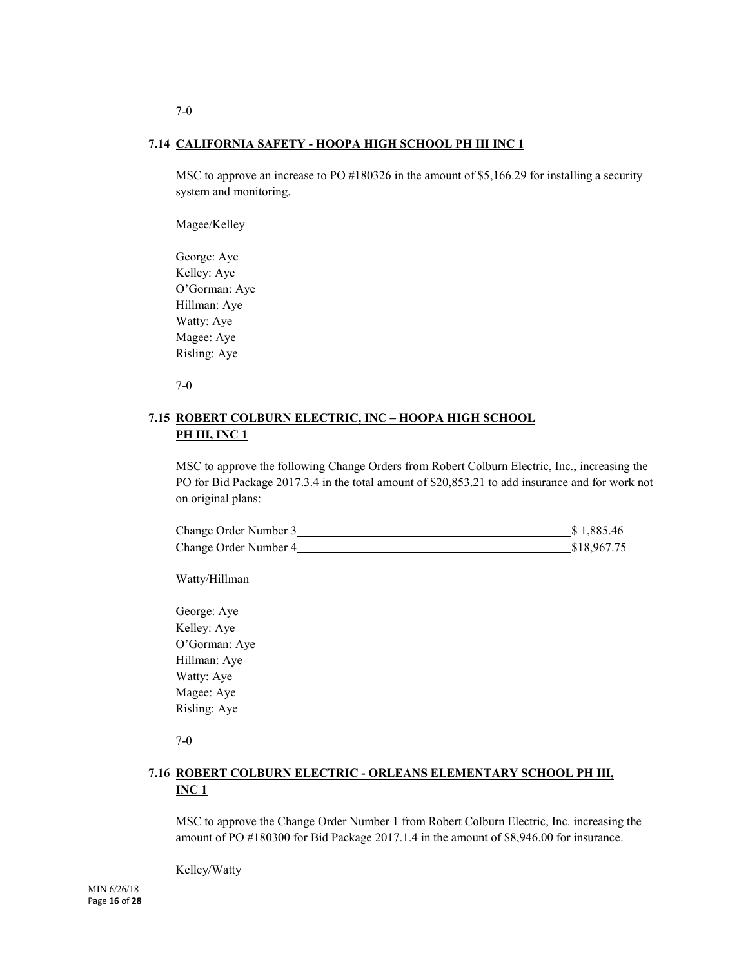# **7.14 CALIFORNIA SAFETY - HOOPA HIGH SCHOOL PH III INC 1**

MSC to approve an increase to PO #180326 in the amount of \$5,166.29 for installing a security system and monitoring.

Magee/Kelley

George: Aye Kelley: Aye O'Gorman: Aye Hillman: Aye Watty: Aye Magee: Aye Risling: Aye

7-0

# **7.15 ROBERT COLBURN ELECTRIC, INC – HOOPA HIGH SCHOOL PH III, INC 1**

MSC to approve the following Change Orders from Robert Colburn Electric, Inc., increasing the PO for Bid Package 2017.3.4 in the total amount of \$20,853.21 to add insurance and for work not on original plans:

| Change Order Number 3 | \$1,885.46  |
|-----------------------|-------------|
| Change Order Number 4 | \$18,967.75 |

Watty/Hillman

George: Aye Kelley: Aye O'Gorman: Aye Hillman: Aye Watty: Aye Magee: Aye Risling: Aye

7-0

# **7.16 ROBERT COLBURN ELECTRIC - ORLEANS ELEMENTARY SCHOOL PH III, INC 1**

MSC to approve the Change Order Number 1 from Robert Colburn Electric, Inc. increasing the amount of PO #180300 for Bid Package 2017.1.4 in the amount of \$8,946.00 for insurance.

Kelley/Watty

7-0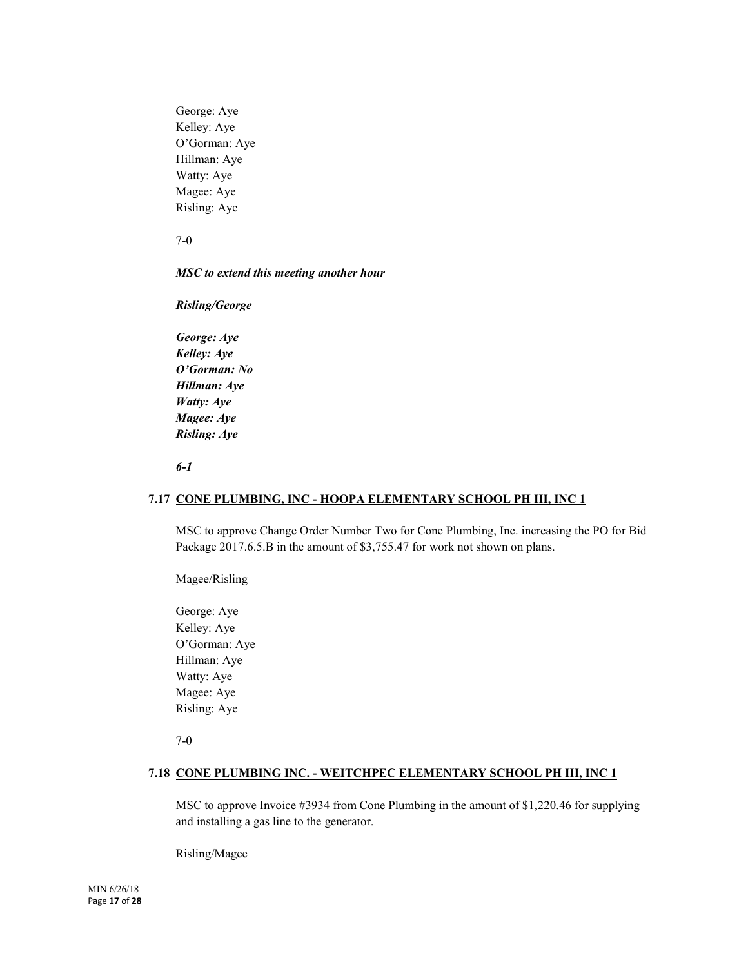George: Aye Kelley: Aye O'Gorman: Aye Hillman: Aye Watty: Aye Magee: Aye Risling: Aye

7-0

# *MSC to extend this meeting another hour*

*Risling/George*

*George: Aye Kelley: Aye O'Gorman: No Hillman: Aye Watty: Aye Magee: Aye Risling: Aye*

*6-1*

# **7.17 CONE PLUMBING, INC - HOOPA ELEMENTARY SCHOOL PH III, INC 1**

MSC to approve Change Order Number Two for Cone Plumbing, Inc. increasing the PO for Bid Package 2017.6.5.B in the amount of \$3,755.47 for work not shown on plans.

Magee/Risling

George: Aye Kelley: Aye O'Gorman: Aye Hillman: Aye Watty: Aye Magee: Aye Risling: Aye

7-0

# **7.18 CONE PLUMBING INC. - WEITCHPEC ELEMENTARY SCHOOL PH III, INC 1**

MSC to approve Invoice #3934 from Cone Plumbing in the amount of \$1,220.46 for supplying and installing a gas line to the generator.

Risling/Magee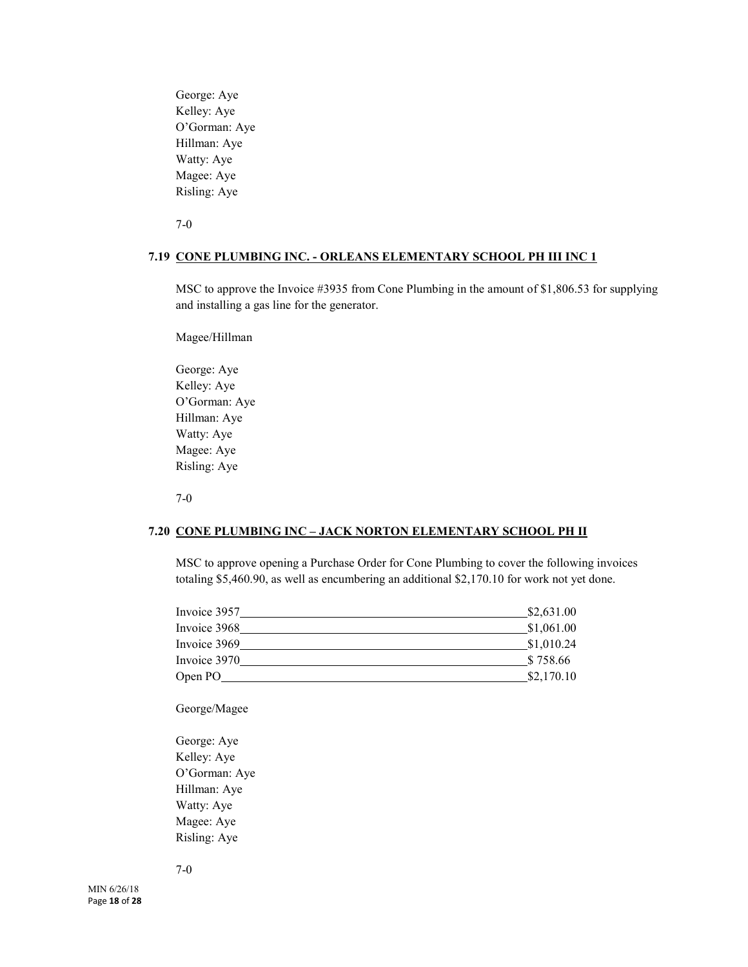George: Aye Kelley: Aye O'Gorman: Aye Hillman: Aye Watty: Aye Magee: Aye Risling: Aye

7-0

# **7.19 CONE PLUMBING INC. - ORLEANS ELEMENTARY SCHOOL PH III INC 1**

MSC to approve the Invoice #3935 from Cone Plumbing in the amount of \$1,806.53 for supplying and installing a gas line for the generator.

Magee/Hillman

George: Aye Kelley: Aye O'Gorman: Aye Hillman: Aye Watty: Aye Magee: Aye Risling: Aye

7-0

# **7.20 CONE PLUMBING INC – JACK NORTON ELEMENTARY SCHOOL PH II**

MSC to approve opening a Purchase Order for Cone Plumbing to cover the following invoices totaling \$5,460.90, as well as encumbering an additional \$2,170.10 for work not yet done.

| Invoice 3957 | \$2,631.00 |
|--------------|------------|
| Invoice 3968 | \$1,061.00 |
| Invoice 3969 | \$1,010.24 |
| Invoice 3970 | \$758.66   |
| Open PO_     | \$2,170.10 |
|              |            |

George/Magee

George: Aye Kelley: Aye O'Gorman: Aye Hillman: Aye Watty: Aye Magee: Aye Risling: Aye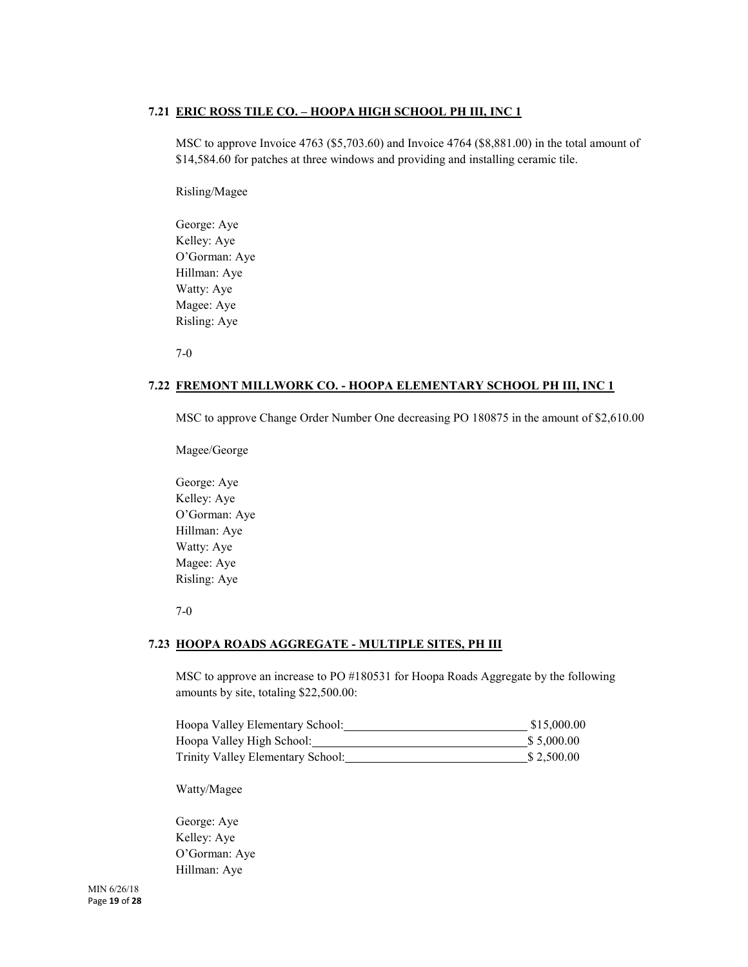# **7.21 ERIC ROSS TILE CO. – HOOPA HIGH SCHOOL PH III, INC 1**

MSC to approve Invoice 4763 (\$5,703.60) and Invoice 4764 (\$8,881.00) in the total amount of \$14,584.60 for patches at three windows and providing and installing ceramic tile.

Risling/Magee

George: Aye Kelley: Aye O'Gorman: Aye Hillman: Aye Watty: Aye Magee: Aye Risling: Aye

7-0

# **7.22 FREMONT MILLWORK CO. - HOOPA ELEMENTARY SCHOOL PH III, INC 1**

MSC to approve Change Order Number One decreasing PO 180875 in the amount of \$2,610.00

Magee/George

George: Aye Kelley: Aye O'Gorman: Aye Hillman: Aye Watty: Aye Magee: Aye Risling: Aye

7-0

# **7.23 HOOPA ROADS AGGREGATE - MULTIPLE SITES, PH III**

MSC to approve an increase to PO #180531 for Hoopa Roads Aggregate by the following amounts by site, totaling \$22,500.00:

| Hoopa Valley Elementary School:   | \$15,000.00 |
|-----------------------------------|-------------|
| Hoopa Valley High School:         | \$ 5,000.00 |
| Trinity Valley Elementary School: | \$2.500.00  |

Watty/Magee

George: Aye Kelley: Aye O'Gorman: Aye Hillman: Aye

MIN 6/26/18 Page **19** of **28**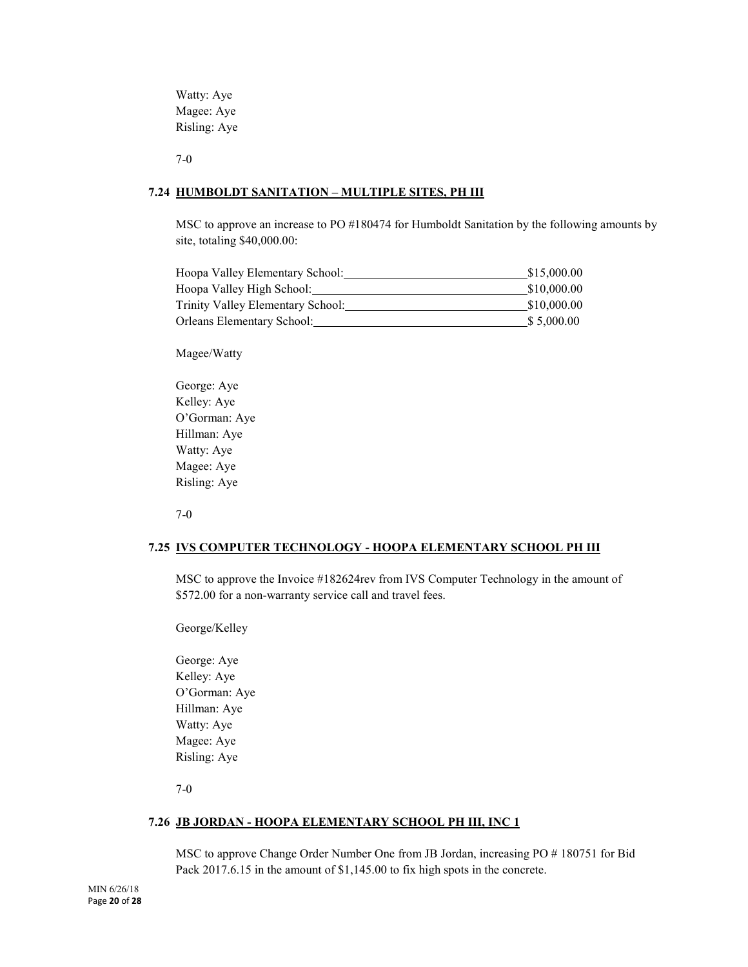Watty: Aye Magee: Aye Risling: Aye

7-0

# **7.24 HUMBOLDT SANITATION – MULTIPLE SITES, PH III**

MSC to approve an increase to PO #180474 for Humboldt Sanitation by the following amounts by site, totaling \$40,000.00:

| Hoopa Valley Elementary School:   | \$15,000.00 |
|-----------------------------------|-------------|
| Hoopa Valley High School:         | \$10,000.00 |
| Trinity Valley Elementary School: | \$10,000.00 |
| Orleans Elementary School:        | \$5,000.00  |

Magee/Watty

George: Aye Kelley: Aye O'Gorman: Aye Hillman: Aye Watty: Aye Magee: Aye Risling: Aye

7-0

# **7.25 IVS COMPUTER TECHNOLOGY - HOOPA ELEMENTARY SCHOOL PH III**

MSC to approve the Invoice #182624rev from IVS Computer Technology in the amount of \$572.00 for a non-warranty service call and travel fees.

George/Kelley

George: Aye Kelley: Aye O'Gorman: Aye Hillman: Aye Watty: Aye Magee: Aye Risling: Aye

7-0

# **7.26 JB JORDAN - HOOPA ELEMENTARY SCHOOL PH III, INC 1**

MSC to approve Change Order Number One from JB Jordan, increasing PO # 180751 for Bid Pack 2017.6.15 in the amount of \$1,145.00 to fix high spots in the concrete.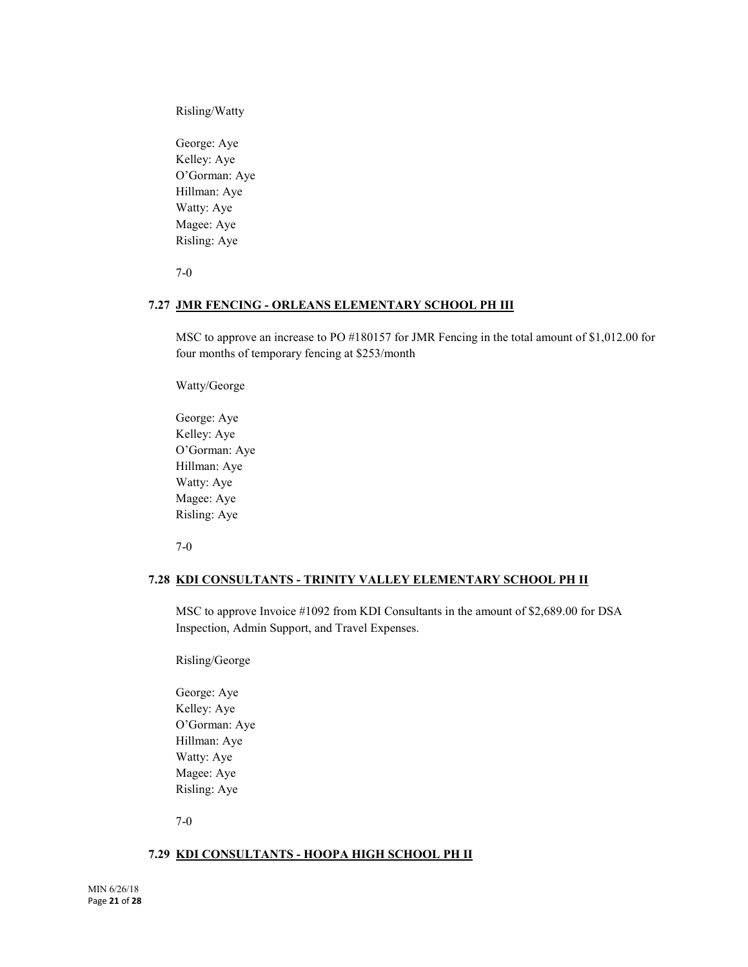Risling/Watty

George: Aye Kelley: Aye O'Gorman: Aye Hillman: Aye Watty: Aye Magee: Aye Risling: Aye

7-0

#### **7.27 JMR FENCING - ORLEANS ELEMENTARY SCHOOL PH III**

MSC to approve an increase to PO #180157 for JMR Fencing in the total amount of \$1,012.00 for four months of temporary fencing at \$253/month

Watty/George

George: Aye Kelley: Aye O'Gorman: Aye Hillman: Aye Watty: Aye Magee: Aye Risling: Aye

7-0

# **7.28 KDI CONSULTANTS - TRINITY VALLEY ELEMENTARY SCHOOL PH II**

MSC to approve Invoice #1092 from KDI Consultants in the amount of \$2,689.00 for DSA Inspection, Admin Support, and Travel Expenses.

Risling/George

George: Aye Kelley: Aye O'Gorman: Aye Hillman: Aye Watty: Aye Magee: Aye Risling: Aye

7-0

#### **7.29 KDI CONSULTANTS - HOOPA HIGH SCHOOL PH II**

MIN 6/26/18 Page **21** of **28**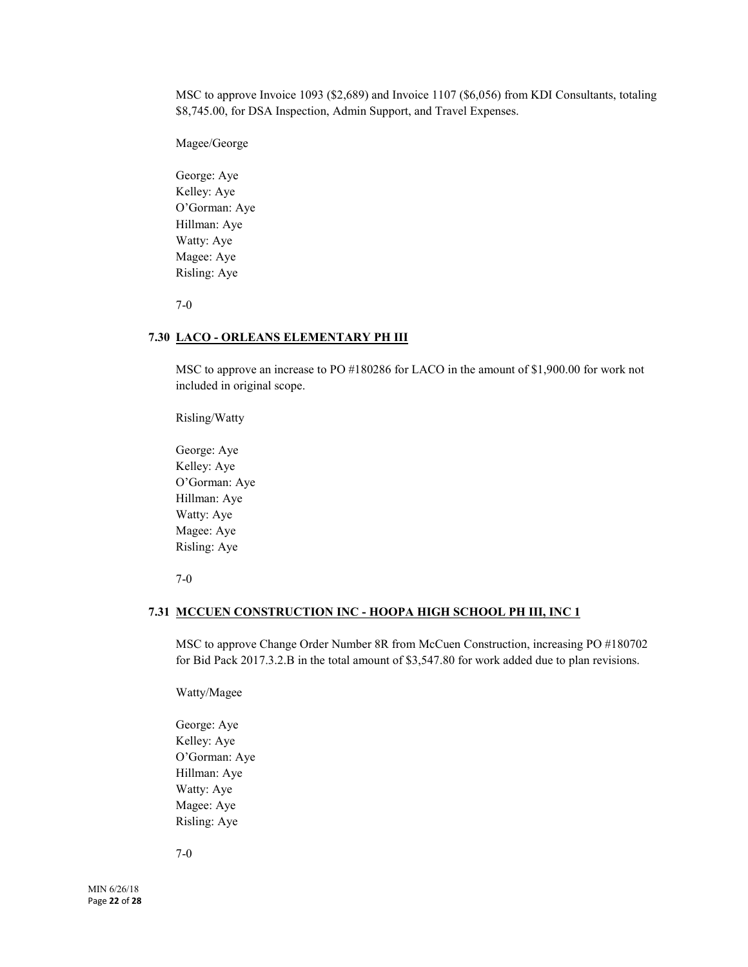MSC to approve Invoice 1093 (\$2,689) and Invoice 1107 (\$6,056) from KDI Consultants, totaling \$8,745.00, for DSA Inspection, Admin Support, and Travel Expenses.

Magee/George

George: Aye Kelley: Aye O'Gorman: Aye Hillman: Aye Watty: Aye Magee: Aye Risling: Aye

7-0

# **7.30 LACO - ORLEANS ELEMENTARY PH III**

MSC to approve an increase to PO #180286 for LACO in the amount of \$1,900.00 for work not included in original scope.

Risling/Watty

George: Aye Kelley: Aye O'Gorman: Aye Hillman: Aye Watty: Aye Magee: Aye Risling: Aye

7-0

# **7.31 MCCUEN CONSTRUCTION INC - HOOPA HIGH SCHOOL PH III, INC 1**

MSC to approve Change Order Number 8R from McCuen Construction, increasing PO #180702 for Bid Pack 2017.3.2.B in the total amount of \$3,547.80 for work added due to plan revisions.

Watty/Magee

George: Aye Kelley: Aye O'Gorman: Aye Hillman: Aye Watty: Aye Magee: Aye Risling: Aye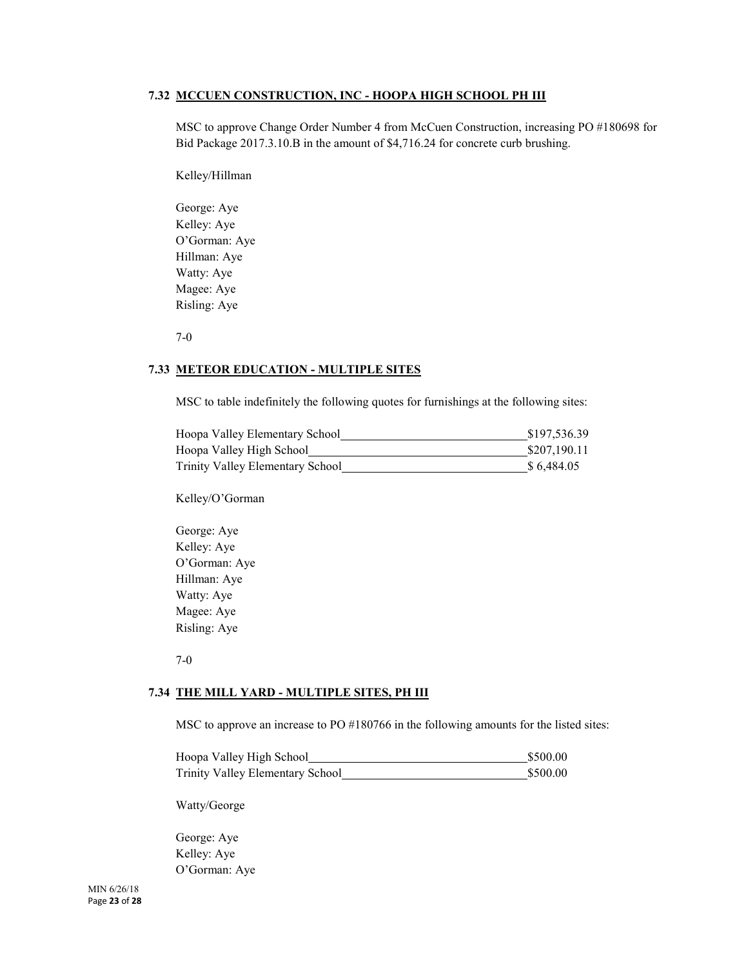# **7.32 MCCUEN CONSTRUCTION, INC - HOOPA HIGH SCHOOL PH III**

MSC to approve Change Order Number 4 from McCuen Construction, increasing PO #180698 for Bid Package 2017.3.10.B in the amount of \$4,716.24 for concrete curb brushing.

Kelley/Hillman

George: Aye Kelley: Aye O'Gorman: Aye Hillman: Aye Watty: Aye Magee: Aye Risling: Aye

7-0

# **7.33 METEOR EDUCATION - MULTIPLE SITES**

MSC to table indefinitely the following quotes for furnishings at the following sites:

| Hoopa Valley Elementary School   | \$197,536.39 |
|----------------------------------|--------------|
| Hoopa Valley High School         | \$207,190.11 |
| Trinity Valley Elementary School | \$6,484.05   |

Kelley/O'Gorman

George: Aye Kelley: Aye O'Gorman: Aye Hillman: Aye Watty: Aye Magee: Aye Risling: Aye

7-0

#### **7.34 THE MILL YARD - MULTIPLE SITES, PH III**

MSC to approve an increase to PO #180766 in the following amounts for the listed sites:

| Hoopa Valley High School         | \$500.00 |
|----------------------------------|----------|
| Trinity Valley Elementary School | \$500.00 |

Watty/George

George: Aye Kelley: Aye O'Gorman: Aye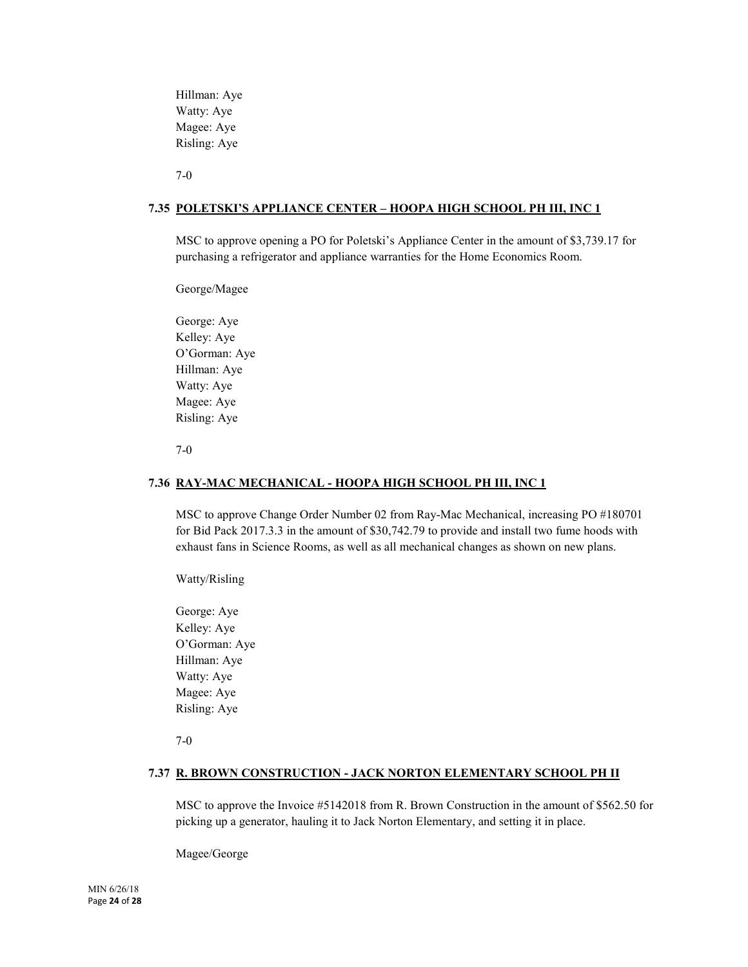Hillman: Aye Watty: Aye Magee: Aye Risling: Aye

7-0

# **7.35 POLETSKI'S APPLIANCE CENTER – HOOPA HIGH SCHOOL PH III, INC 1**

MSC to approve opening a PO for Poletski's Appliance Center in the amount of \$3,739.17 for purchasing a refrigerator and appliance warranties for the Home Economics Room.

George/Magee

George: Aye Kelley: Aye O'Gorman: Aye Hillman: Aye Watty: Aye Magee: Aye Risling: Aye

7-0

#### **7.36 RAY-MAC MECHANICAL - HOOPA HIGH SCHOOL PH III, INC 1**

MSC to approve Change Order Number 02 from Ray-Mac Mechanical, increasing PO #180701 for Bid Pack 2017.3.3 in the amount of \$30,742.79 to provide and install two fume hoods with exhaust fans in Science Rooms, as well as all mechanical changes as shown on new plans.

Watty/Risling

George: Aye Kelley: Aye O'Gorman: Aye Hillman: Aye Watty: Aye Magee: Aye Risling: Aye

7-0

# **7.37 R. BROWN CONSTRUCTION - JACK NORTON ELEMENTARY SCHOOL PH II**

MSC to approve the Invoice #5142018 from R. Brown Construction in the amount of \$562.50 for picking up a generator, hauling it to Jack Norton Elementary, and setting it in place.

Magee/George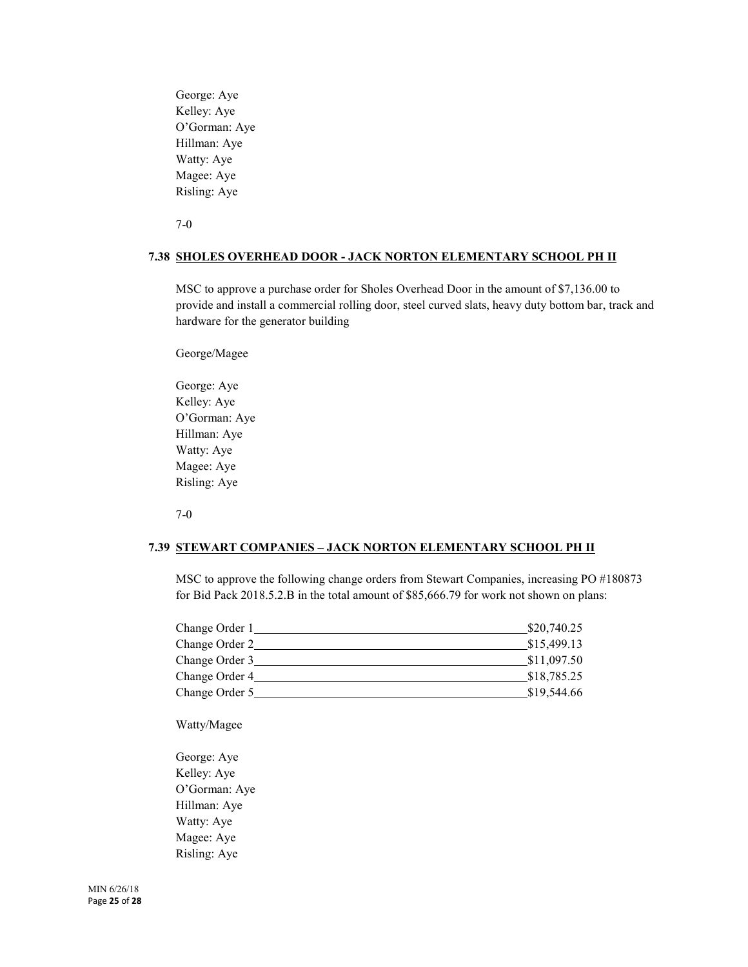George: Aye Kelley: Aye O'Gorman: Aye Hillman: Aye Watty: Aye Magee: Aye Risling: Aye

7-0

#### **7.38 SHOLES OVERHEAD DOOR - JACK NORTON ELEMENTARY SCHOOL PH II**

MSC to approve a purchase order for Sholes Overhead Door in the amount of \$7,136.00 to provide and install a commercial rolling door, steel curved slats, heavy duty bottom bar, track and hardware for the generator building

George/Magee

George: Aye Kelley: Aye O'Gorman: Aye Hillman: Aye Watty: Aye Magee: Aye Risling: Aye

7-0

#### **7.39 STEWART COMPANIES – JACK NORTON ELEMENTARY SCHOOL PH II**

MSC to approve the following change orders from Stewart Companies, increasing PO #180873 for Bid Pack 2018.5.2.B in the total amount of \$85,666.79 for work not shown on plans:

| Change Order 1 | \$20,740.25 |
|----------------|-------------|
| Change Order 2 | \$15,499.13 |
| Change Order 3 | \$11,097.50 |
| Change Order 4 | \$18,785.25 |
| Change Order 5 | \$19,544.66 |

Watty/Magee

George: Aye Kelley: Aye O'Gorman: Aye Hillman: Aye Watty: Aye Magee: Aye Risling: Aye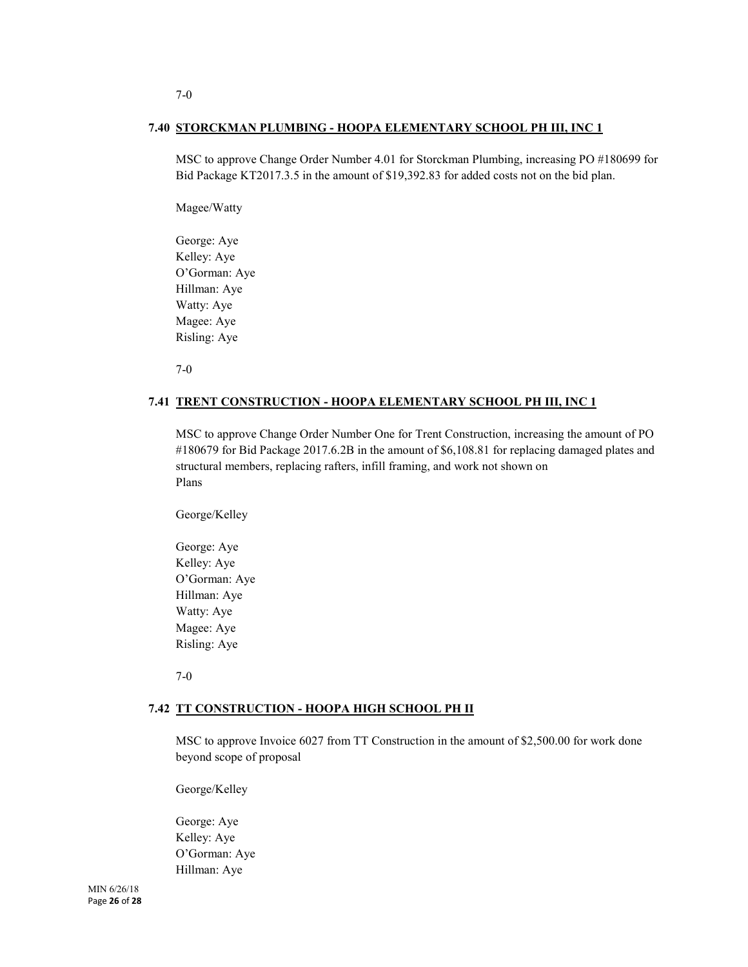# **7.40 STORCKMAN PLUMBING - HOOPA ELEMENTARY SCHOOL PH III, INC 1**

MSC to approve Change Order Number 4.01 for Storckman Plumbing, increasing PO #180699 for Bid Package KT2017.3.5 in the amount of \$19,392.83 for added costs not on the bid plan.

Magee/Watty

George: Aye Kelley: Aye O'Gorman: Aye Hillman: Aye Watty: Aye Magee: Aye Risling: Aye

7-0

### **7.41 TRENT CONSTRUCTION - HOOPA ELEMENTARY SCHOOL PH III, INC 1**

MSC to approve Change Order Number One for Trent Construction, increasing the amount of PO #180679 for Bid Package 2017.6.2B in the amount of \$6,108.81 for replacing damaged plates and structural members, replacing rafters, infill framing, and work not shown on Plans

George/Kelley

George: Aye Kelley: Aye O'Gorman: Aye Hillman: Aye Watty: Aye Magee: Aye Risling: Aye

7-0

#### **7.42 TT CONSTRUCTION - HOOPA HIGH SCHOOL PH II**

MSC to approve Invoice 6027 from TT Construction in the amount of \$2,500.00 for work done beyond scope of proposal

George/Kelley

George: Aye Kelley: Aye O'Gorman: Aye Hillman: Aye

MIN 6/26/18 Page **26** of **28**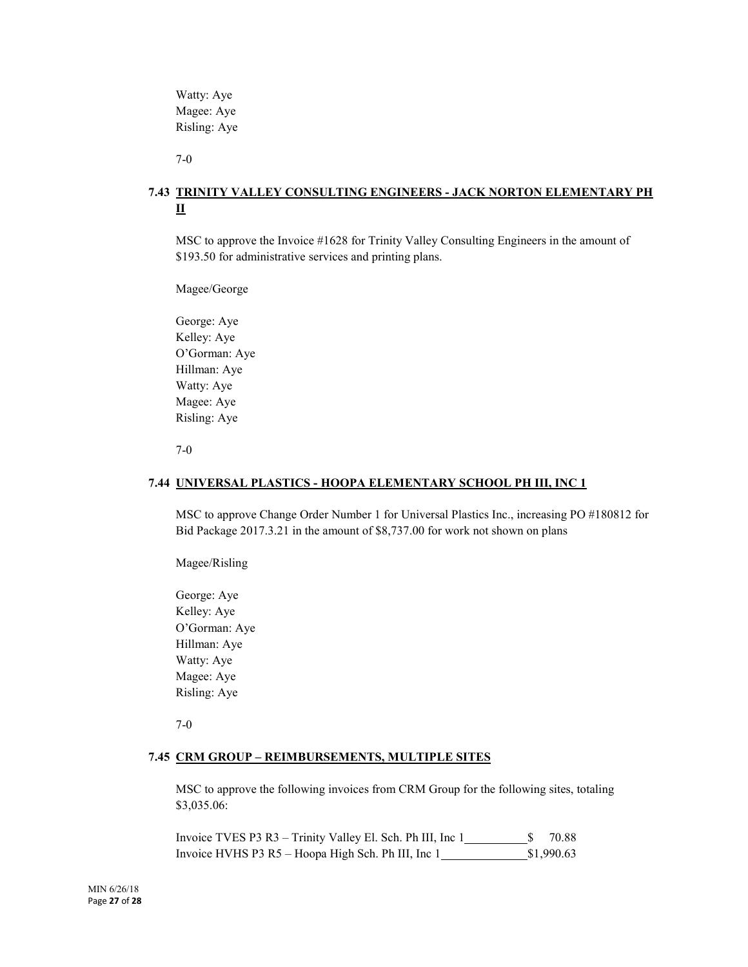Watty: Aye Magee: Aye Risling: Aye

7-0

# **7.43 TRINITY VALLEY CONSULTING ENGINEERS - JACK NORTON ELEMENTARY PH II**

MSC to approve the Invoice #1628 for Trinity Valley Consulting Engineers in the amount of \$193.50 for administrative services and printing plans.

Magee/George

George: Aye Kelley: Aye O'Gorman: Aye Hillman: Aye Watty: Aye Magee: Aye Risling: Aye

7-0

# **7.44 UNIVERSAL PLASTICS - HOOPA ELEMENTARY SCHOOL PH III, INC 1**

MSC to approve Change Order Number 1 for Universal Plastics Inc., increasing PO #180812 for Bid Package 2017.3.21 in the amount of \$8,737.00 for work not shown on plans

Magee/Risling

George: Aye Kelley: Aye O'Gorman: Aye Hillman: Aye Watty: Aye Magee: Aye Risling: Aye

7-0

#### **7.45 CRM GROUP – REIMBURSEMENTS, MULTIPLE SITES**

MSC to approve the following invoices from CRM Group for the following sites, totaling \$3,035.06:

Invoice TVES P3 R3 – Trinity Valley El. Sch. Ph III, Inc  $1 \_\_\_\_\_\_\$ 70.88 Invoice HVHS P3 R5 – Hoopa High Sch. Ph III, Inc 1 \$1,990.63